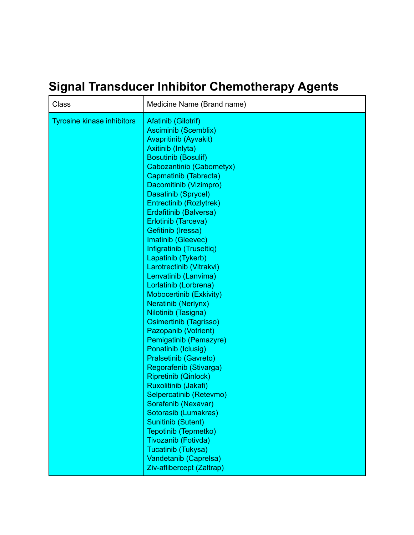## **Signal Transducer Inhibitor Chemotherapy Agents**

| Class                             | Medicine Name (Brand name)                                                                                                                                                                                                                                                                                                                                                                                                                                                                                                                                                                                                                                                                                                                                                                                                                                                                                                  |
|-----------------------------------|-----------------------------------------------------------------------------------------------------------------------------------------------------------------------------------------------------------------------------------------------------------------------------------------------------------------------------------------------------------------------------------------------------------------------------------------------------------------------------------------------------------------------------------------------------------------------------------------------------------------------------------------------------------------------------------------------------------------------------------------------------------------------------------------------------------------------------------------------------------------------------------------------------------------------------|
| <b>Tyrosine kinase inhibitors</b> | <b>Afatinib (Gilotrif)</b><br><b>Asciminib (Scemblix)</b><br><b>Avapritinib (Ayvakit)</b><br>Axitinib (Inlyta)<br><b>Bosutinib (Bosulif)</b><br>Cabozantinib (Cabometyx)<br>Capmatinib (Tabrecta)<br>Dacomitinib (Vizimpro)<br>Dasatinib (Sprycel)<br><b>Entrectinib (Rozlytrek)</b><br>Erdafitinib (Balversa)<br>Erlotinib (Tarceva)<br>Gefitinib (Iressa)<br>Imatinib (Gleevec)<br>Infigratinib (Truseltiq)<br>Lapatinib (Tykerb)<br>Larotrectinib (Vitrakvi)<br>Lenvatinib (Lanvima)<br>Lorlatinib (Lorbrena)<br><b>Mobocertinib (Exkivity)</b><br><b>Neratinib (Nerlynx)</b><br>Nilotinib (Tasigna)<br>Osimertinib (Tagrisso)<br>Pazopanib (Votrient)<br>Pemigatinib (Pemazyre)<br>Ponatinib (Iclusig)<br>Pralsetinib (Gavreto)<br>Regorafenib (Stivarga)<br><b>Ripretinib (Qinlock)</b><br>Ruxolitinib (Jakafi)<br>Selpercatinib (Retevmo)<br>Sorafenib (Nexavar)<br>Sotorasib (Lumakras)<br><b>Sunitinib (Sutent)</b> |
|                                   | Tepotinib (Tepmetko)<br>Tivozanib (Fotivda)<br>Tucatinib (Tukysa)<br>Vandetanib (Caprelsa)<br>Ziv-aflibercept (Zaltrap)                                                                                                                                                                                                                                                                                                                                                                                                                                                                                                                                                                                                                                                                                                                                                                                                     |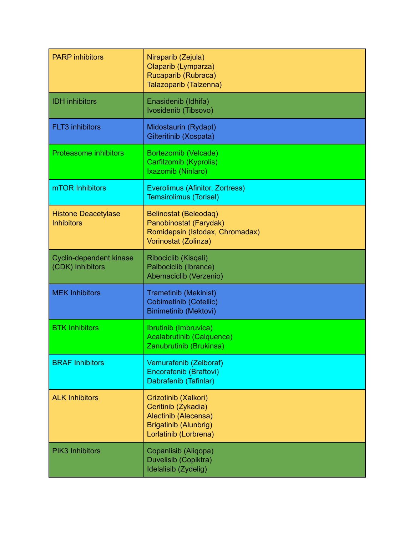| <b>PARP</b> inhibitors                          | Niraparib (Zejula)<br>Olaparib (Lymparza)<br>Rucaparib (Rubraca)<br>Talazoparib (Talzenna)                                   |
|-------------------------------------------------|------------------------------------------------------------------------------------------------------------------------------|
| <b>IDH</b> inhibitors                           | Enasidenib (Idhifa)<br>Ivosidenib (Tibsovo)                                                                                  |
| <b>FLT3</b> inhibitors                          | Midostaurin (Rydapt)<br>Gilteritinib (Xospata)                                                                               |
| <b>Proteasome inhibitors</b>                    | Bortezomib (Velcade)<br>Carfilzomib (Kyprolis)<br>Ixazomib (Ninlaro)                                                         |
| mTOR Inhibitors                                 | Everolimus (Afinitor, Zortress)<br>Temsirolimus (Torisel)                                                                    |
| <b>Histone Deacetylase</b><br><b>Inhibitors</b> | Belinostat (Beleodaq)<br>Panobinostat (Farydak)<br>Romidepsin (Istodax, Chromadax)<br>Vorinostat (Zolinza)                   |
| Cyclin-dependent kinase                         | Ribociclib (Kisqali)                                                                                                         |
| (CDK) Inhibitors                                | Palbociclib (Ibrance)<br>Abemaciclib (Verzenio)                                                                              |
| <b>MEK Inhibitors</b>                           | <b>Trametinib (Mekinist)</b><br><b>Cobimetinib (Cotellic)</b><br><b>Binimetinib (Mektovi)</b>                                |
| <b>BTK Inhibitors</b>                           | Ibrutinib (Imbruvica)<br><b>Acalabrutinib (Calquence)</b><br>Zanubrutinib (Brukinsa)                                         |
| <b>BRAF Inhibitors</b>                          | Vemurafenib (Zelboraf)<br>Encorafenib (Braftovi)<br>Dabrafenib (Tafinlar)                                                    |
| <b>ALK Inhibitors</b>                           | Crizotinib (Xalkori)<br>Ceritinib (Zykadia)<br>Alectinib (Alecensa)<br><b>Brigatinib (Alunbrig)</b><br>Lorlatinib (Lorbrena) |